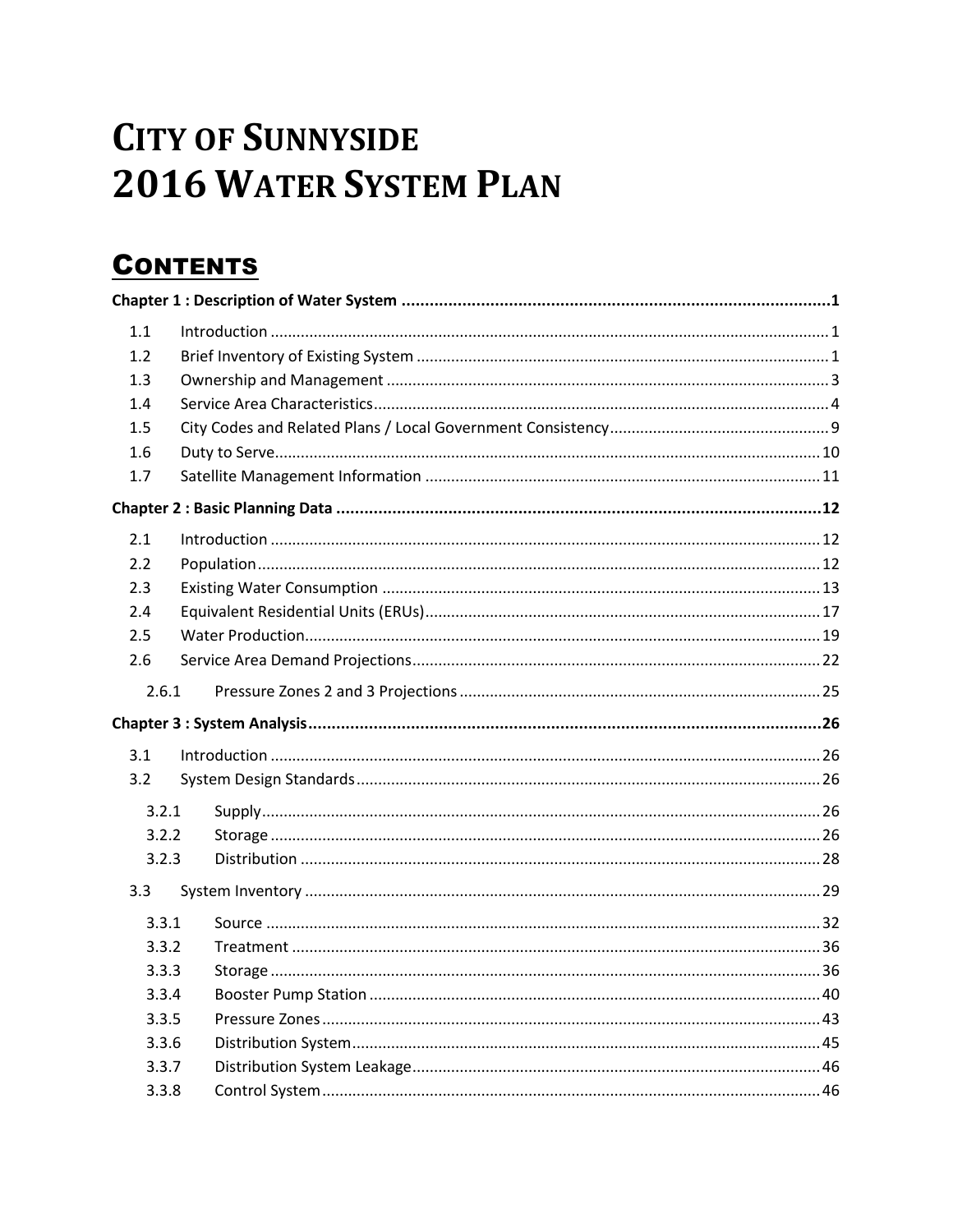## **CITY OF SUNNYSIDE** 2016 WATER SYSTEM PLAN

## **CONTENTS**

| 1.1              |  |
|------------------|--|
| 1.2              |  |
| 1.3              |  |
| 1.4              |  |
| 1.5              |  |
| 1.6              |  |
| 1.7              |  |
|                  |  |
| 2.1              |  |
| 2.2              |  |
| 2.3              |  |
| 2.4              |  |
| 2.5              |  |
| 2.6              |  |
| 2.6.1            |  |
|                  |  |
|                  |  |
| 3.1              |  |
| 3.2              |  |
| 3.2.1            |  |
| 3.2.2            |  |
| 3.2.3            |  |
| 3.3 <sub>2</sub> |  |
| 3.3.1            |  |
| 3.3.2            |  |
| 3.3.3            |  |
| 3.3.4            |  |
| 3.3.5            |  |
| 3.3.6            |  |
| 3.3.7            |  |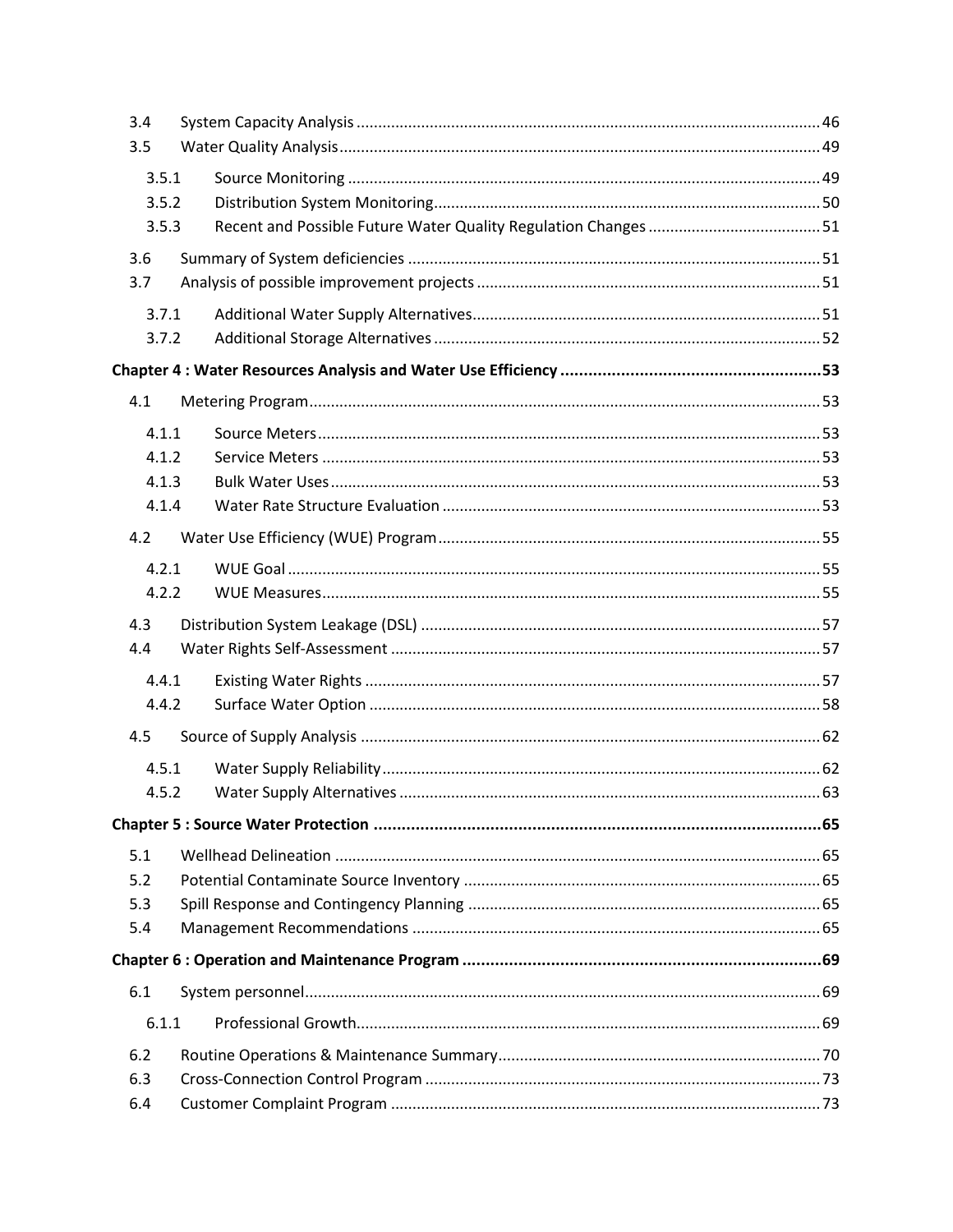| 3.4<br>3.5     |  |
|----------------|--|
|                |  |
| 3.5.1<br>3.5.2 |  |
| 3.5.3          |  |
|                |  |
| 3.6<br>3.7     |  |
|                |  |
| 3.7.1          |  |
| 3.7.2          |  |
|                |  |
| 4.1            |  |
| 4.1.1          |  |
| 4.1.2          |  |
| 4.1.3          |  |
| 4.1.4          |  |
| 4.2            |  |
| 4.2.1          |  |
| 4.2.2          |  |
| 4.3            |  |
| 4.4            |  |
| 4.4.1          |  |
| 4.4.2          |  |
| 4.5            |  |
|                |  |
| 4.5.1<br>4.5.2 |  |
|                |  |
|                |  |
| 5.1            |  |
| 5.2            |  |
| 5.3            |  |
| 5.4            |  |
|                |  |
| 6.1            |  |
| 6.1.1          |  |
| 6.2            |  |
| 6.3            |  |
| 6.4            |  |